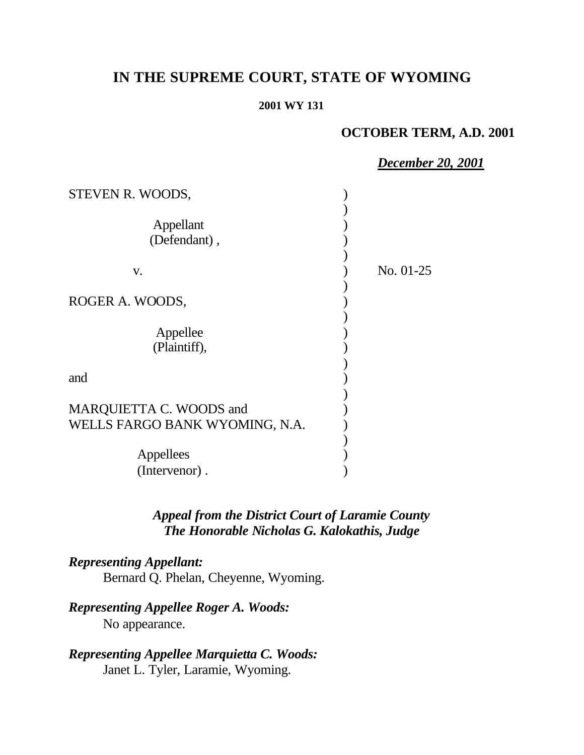# **IN THE SUPREME COURT, STATE OF WYOMING**

#### **2001 WY 131**

## **OCTOBER TERM, A.D. 2001**

*December 20, 2001*

| STEVEN R. WOODS,                                          |             |
|-----------------------------------------------------------|-------------|
| Appellant<br>(Defendant),                                 |             |
| V.                                                        | No. $01-25$ |
| ROGER A. WOODS,                                           |             |
| Appellee<br>(Plaintiff),                                  |             |
| and                                                       |             |
| MARQUIETTA C. WOODS and<br>WELLS FARGO BANK WYOMING, N.A. |             |
| Appellees                                                 |             |
| (Intervenor).                                             |             |

## *Appeal from the District Court of Laramie County The Honorable Nicholas G. Kalokathis, Judge*

## *Representing Appellant:*

Bernard Q. Phelan, Cheyenne, Wyoming.

## *Representing Appellee Roger A. Woods:*

No appearance.

# *Representing Appellee Marquietta C. Woods:*

Janet L. Tyler, Laramie, Wyoming.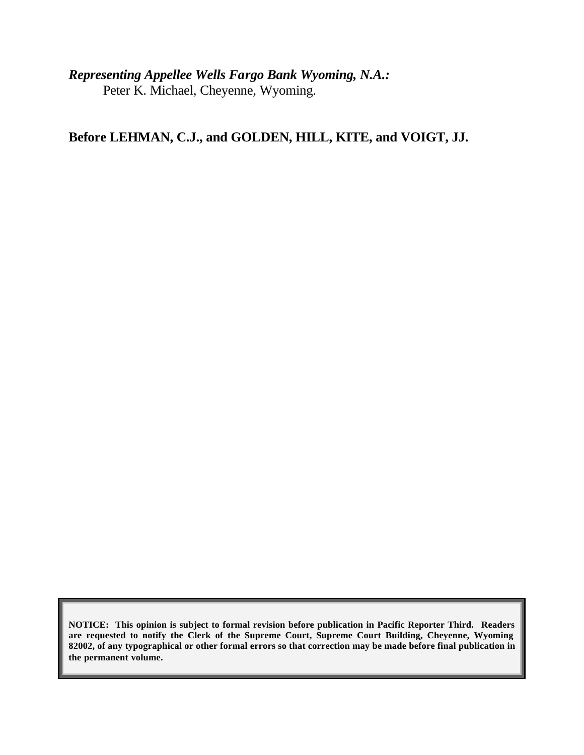*Representing Appellee Wells Fargo Bank Wyoming, N.A.:* Peter K. Michael, Cheyenne, Wyoming.

**Before LEHMAN, C.J., and GOLDEN, HILL, KITE, and VOIGT, JJ.**

**NOTICE: This opinion is subject to formal revision before publication in Pacific Reporter Third. Readers are requested to notify the Clerk of the Supreme Court, Supreme Court Building, Cheyenne, Wyoming 82002, of any typographical or other formal errors so that correction may be made before final publication in the permanent volume.**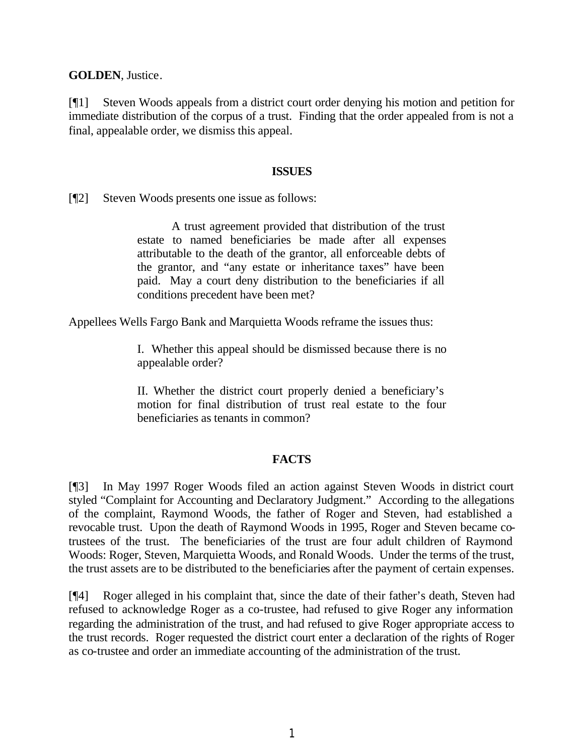**GOLDEN**, Justice.

[¶1] Steven Woods appeals from a district court order denying his motion and petition for immediate distribution of the corpus of a trust. Finding that the order appealed from is not a final, appealable order, we dismiss this appeal.

#### **ISSUES**

[¶2] Steven Woods presents one issue as follows:

A trust agreement provided that distribution of the trust estate to named beneficiaries be made after all expenses attributable to the death of the grantor, all enforceable debts of the grantor, and "any estate or inheritance taxes" have been paid. May a court deny distribution to the beneficiaries if all conditions precedent have been met?

Appellees Wells Fargo Bank and Marquietta Woods reframe the issues thus:

I. Whether this appeal should be dismissed because there is no appealable order?

II. Whether the district court properly denied a beneficiary's motion for final distribution of trust real estate to the four beneficiaries as tenants in common?

### **FACTS**

[¶3] In May 1997 Roger Woods filed an action against Steven Woods in district court styled "Complaint for Accounting and Declaratory Judgment." According to the allegations of the complaint, Raymond Woods, the father of Roger and Steven, had established a revocable trust. Upon the death of Raymond Woods in 1995, Roger and Steven became cotrustees of the trust. The beneficiaries of the trust are four adult children of Raymond Woods: Roger, Steven, Marquietta Woods, and Ronald Woods. Under the terms of the trust, the trust assets are to be distributed to the beneficiaries after the payment of certain expenses.

[¶4] Roger alleged in his complaint that, since the date of their father's death, Steven had refused to acknowledge Roger as a co-trustee, had refused to give Roger any information regarding the administration of the trust, and had refused to give Roger appropriate access to the trust records. Roger requested the district court enter a declaration of the rights of Roger as co-trustee and order an immediate accounting of the administration of the trust.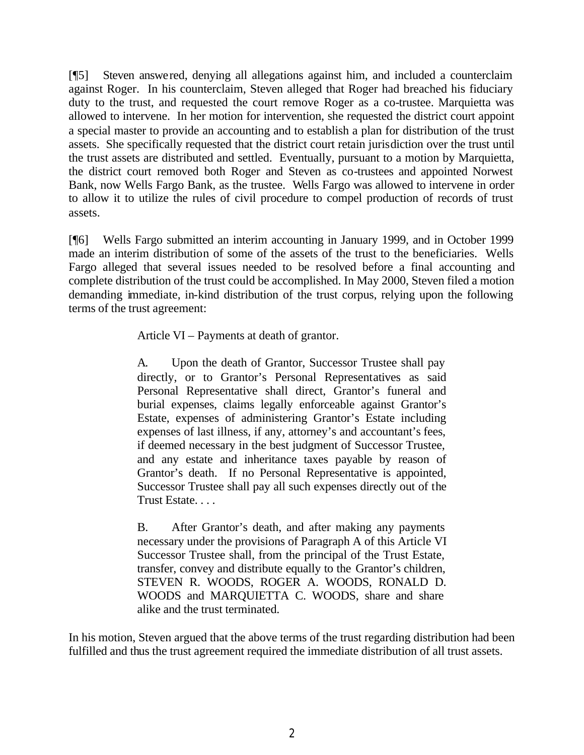[¶5] Steven answered, denying all allegations against him, and included a counterclaim against Roger. In his counterclaim, Steven alleged that Roger had breached his fiduciary duty to the trust, and requested the court remove Roger as a co-trustee. Marquietta was allowed to intervene. In her motion for intervention, she requested the district court appoint a special master to provide an accounting and to establish a plan for distribution of the trust assets. She specifically requested that the district court retain jurisdiction over the trust until the trust assets are distributed and settled. Eventually, pursuant to a motion by Marquietta, the district court removed both Roger and Steven as co-trustees and appointed Norwest Bank, now Wells Fargo Bank, as the trustee. Wells Fargo was allowed to intervene in order to allow it to utilize the rules of civil procedure to compel production of records of trust assets.

[¶6] Wells Fargo submitted an interim accounting in January 1999, and in October 1999 made an interim distribution of some of the assets of the trust to the beneficiaries. Wells Fargo alleged that several issues needed to be resolved before a final accounting and complete distribution of the trust could be accomplished. In May 2000, Steven filed a motion demanding immediate, in-kind distribution of the trust corpus, relying upon the following terms of the trust agreement:

Article VI – Payments at death of grantor.

A. Upon the death of Grantor, Successor Trustee shall pay directly, or to Grantor's Personal Representatives as said Personal Representative shall direct, Grantor's funeral and burial expenses, claims legally enforceable against Grantor's Estate, expenses of administering Grantor's Estate including expenses of last illness, if any, attorney's and accountant's fees, if deemed necessary in the best judgment of Successor Trustee, and any estate and inheritance taxes payable by reason of Grantor's death. If no Personal Representative is appointed, Successor Trustee shall pay all such expenses directly out of the Trust Estate. . . .

B. After Grantor's death, and after making any payments necessary under the provisions of Paragraph A of this Article VI Successor Trustee shall, from the principal of the Trust Estate, transfer, convey and distribute equally to the Grantor's children, STEVEN R. WOODS, ROGER A. WOODS, RONALD D. WOODS and MARQUIETTA C. WOODS, share and share alike and the trust terminated.

In his motion, Steven argued that the above terms of the trust regarding distribution had been fulfilled and thus the trust agreement required the immediate distribution of all trust assets.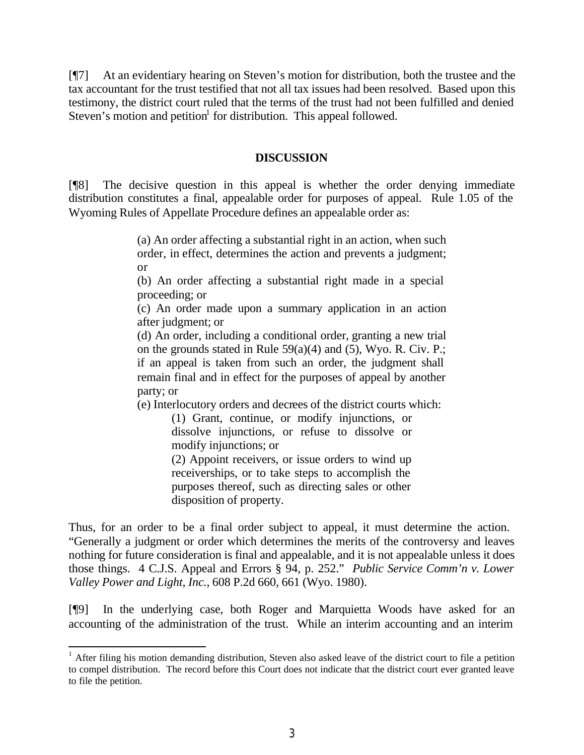[¶7] At an evidentiary hearing on Steven's motion for distribution, both the trustee and the tax accountant for the trust testified that not all tax issues had been resolved. Based upon this testimony, the district court ruled that the terms of the trust had not been fulfilled and denied Steven's motion and petition<sup>1</sup> for distribution. This appeal followed.

#### **DISCUSSION**

[¶8] The decisive question in this appeal is whether the order denying immediate distribution constitutes a final, appealable order for purposes of appeal. Rule 1.05 of the Wyoming Rules of Appellate Procedure defines an appealable order as:

> (a) An order affecting a substantial right in an action, when such order, in effect, determines the action and prevents a judgment; or

> (b) An order affecting a substantial right made in a special proceeding; or

(c) An order made upon a summary application in an action after judgment; or

(d) An order, including a conditional order, granting a new trial on the grounds stated in Rule 59(a)(4) and (5), Wyo. R. Civ. P.; if an appeal is taken from such an order, the judgment shall remain final and in effect for the purposes of appeal by another party; or

(e) Interlocutory orders and decrees of the district courts which:

(1) Grant, continue, or modify injunctions, or dissolve injunctions, or refuse to dissolve or modify injunctions; or

(2) Appoint receivers, or issue orders to wind up receiverships, or to take steps to accomplish the purposes thereof, such as directing sales or other disposition of property.

Thus, for an order to be a final order subject to appeal, it must determine the action. "Generally a judgment or order which determines the merits of the controversy and leaves nothing for future consideration is final and appealable, and it is not appealable unless it does those things. 4 C.J.S. Appeal and Errors § 94, p. 252." *Public Service Comm'n v. Lower Valley Power and Light, Inc.*, 608 P.2d 660, 661 (Wyo. 1980).

[¶9] In the underlying case, both Roger and Marquietta Woods have asked for an accounting of the administration of the trust. While an interim accounting and an interim

<sup>&</sup>lt;sup>1</sup> After filing his motion demanding distribution, Steven also asked leave of the district court to file a petition to compel distribution. The record before this Court does not indicate that the district court ever granted leave to file the petition.